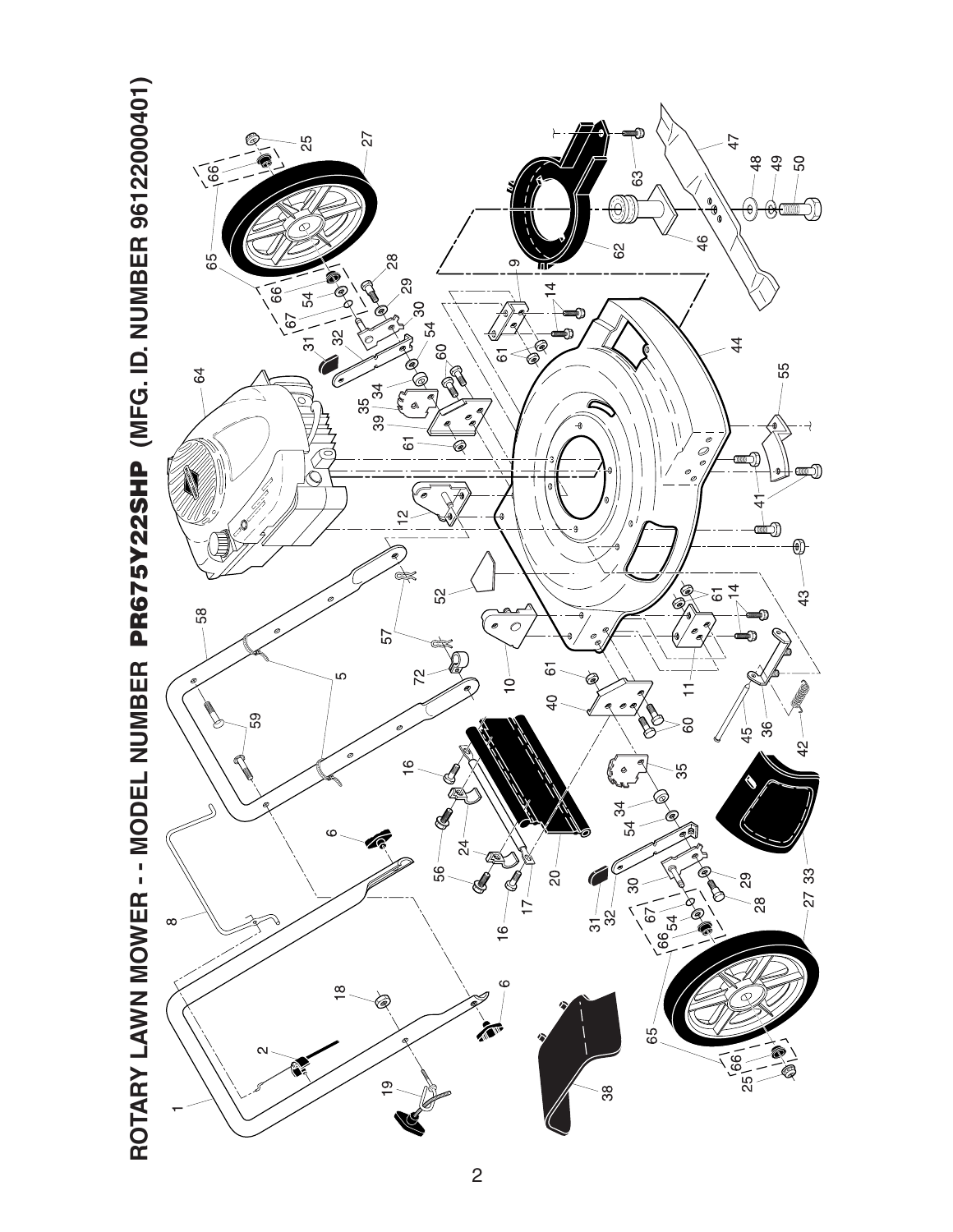

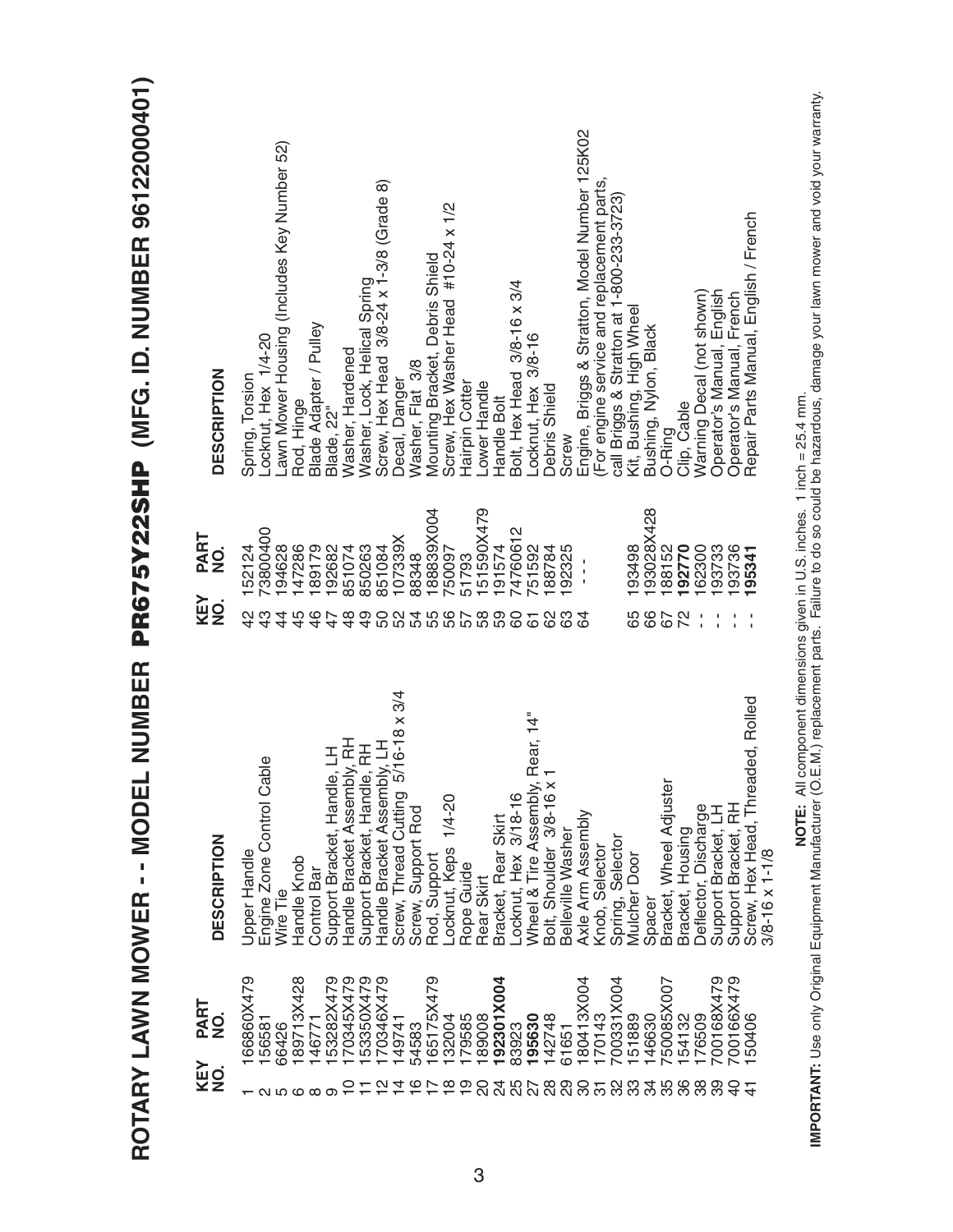| I                                                                               |
|---------------------------------------------------------------------------------|
| j                                                                               |
|                                                                                 |
| Ī                                                                               |
|                                                                                 |
|                                                                                 |
|                                                                                 |
|                                                                                 |
|                                                                                 |
|                                                                                 |
|                                                                                 |
|                                                                                 |
| I                                                                               |
|                                                                                 |
|                                                                                 |
|                                                                                 |
|                                                                                 |
|                                                                                 |
|                                                                                 |
| I<br>ĺ<br>l                                                                     |
|                                                                                 |
|                                                                                 |
|                                                                                 |
|                                                                                 |
|                                                                                 |
|                                                                                 |
|                                                                                 |
|                                                                                 |
|                                                                                 |
|                                                                                 |
|                                                                                 |
|                                                                                 |
|                                                                                 |
| Ì                                                                               |
|                                                                                 |
|                                                                                 |
|                                                                                 |
|                                                                                 |
|                                                                                 |
|                                                                                 |
|                                                                                 |
|                                                                                 |
| j                                                                               |
| i<br><b>LICO</b>                                                                |
|                                                                                 |
| )<br>)                                                                          |
| ì                                                                               |
| é                                                                               |
|                                                                                 |
| I,                                                                              |
| ı                                                                               |
| ֖֖֖֖֖֖֧֖֚֚֚֚֚֚֚֚֚֚֚֚֚֚֚֚֚֚֚֚֚֬֝֓֡֓֡֞֓֡֓֓֡֓֓֡֓֓֡֓֓֡֓֓֡֓֓֡֓֓֡֓֞֓֞֓֞֓֞<br>$\alpha$ |
| ū                                                                               |
|                                                                                 |
|                                                                                 |
| $\sum$                                                                          |
|                                                                                 |
|                                                                                 |
|                                                                                 |
|                                                                                 |
|                                                                                 |
|                                                                                 |
| $\ddot{\phantom{1}}$<br>г                                                       |
| Ě                                                                               |
| $\overline{\phantom{a}}$                                                        |
|                                                                                 |
| $\widehat{\mathsf{R}}$                                                          |
|                                                                                 |
| ROT                                                                             |
|                                                                                 |
|                                                                                 |
|                                                                                 |
|                                                                                 |

| <b>DESCRIPTION</b>                        | Locknut, Hex 1/4-20<br>Spring, Torsion    | Lawn Mower Housing (Includes Key Number 52)<br>Rod, Hinge | Blade Adapter / Pulley  | Blade, 22"                                                 | Washer, Hardened        | Washer, Lock, Helical Spring | Screw, Hex Head 3/8-24 x 1-3/8 (Grade 8) | Decal, Danger                       | Washer, Flat 3/8   | Mounting Bracket, Debris Shield | Screw, Hex Washer Head #10-24 x 1/2 | Hairpin Cotter | Lower Handle           | Handle Bolt         | Bolt, Hex Head 3/8-16 x 3/4                    | Locknut, Hex 3/8-16 | Debris Shield           | Screw                | Engine, Briggs & Stratton, Model Number 125K02 | For engine service and replacement parts, | call Briggs & Stratton at 1-800-233-3723) | Kit, Bushing, High Wheel | Bushing, Nylon, Black | O-Ring                  | Clip, Cable            | Warning Decal (not shown) | Operator's Manual, English | Operator's Manual, French | Repair Parts Manual, English / French                          |
|-------------------------------------------|-------------------------------------------|-----------------------------------------------------------|-------------------------|------------------------------------------------------------|-------------------------|------------------------------|------------------------------------------|-------------------------------------|--------------------|---------------------------------|-------------------------------------|----------------|------------------------|---------------------|------------------------------------------------|---------------------|-------------------------|----------------------|------------------------------------------------|-------------------------------------------|-------------------------------------------|--------------------------|-----------------------|-------------------------|------------------------|---------------------------|----------------------------|---------------------------|----------------------------------------------------------------|
| PART<br>$\frac{1}{2}$<br>KEY<br>$\dot{9}$ | 73800400<br>152124<br>42                  | 147286<br>194628<br>4                                     | 189179<br>$\frac{6}{4}$ | 192682                                                     | 851074<br>$\frac{8}{4}$ | 850263<br>$\frac{6}{7}$      | 851084                                   | 107339X<br><b>88488</b>             | 88348              | 188839X004                      | 750097                              | 51793<br>57    | 151590X479<br>68<br>69 | 191574              | 4760612<br>60                                  | 51592               | 188784                  | 192325               | $\frac{1}{1}$                                  |                                           |                                           | 193498<br>65             | 193028X428<br>89      | 188152<br>67            | 192770<br>22           | 162300                    | 93733                      | 193736                    | 95341                                                          |
| <b>DESCRIPTION</b>                        | Engine Zone Control Cable<br>Jpper Handle | Handle Knob<br>Wire Tie                                   | Control Bar             | Support Bracket, Handle, LH<br>Handle Bracket Assembly, RH |                         | Support Bracket, Handle, RH  | y, LH<br>Handle Bracket Assembl          | Screw, Thread Cutting 5/16-18 x 3/4 | Screw, Support Rod | Rod, Support                    | Locknut, Keps 1/4-20                | Rope Guide     | Rear Skirt             | Bracket, Rear Skirt | Locknut, Hex 3/18-16<br>Wheel & Tire Assembly, | Rear, 14"<br>1      | Bolt, Shoulder 3/8-16 x | Belleville<br>Washer | Axle Arm Assembly                              | Knob, Selector                            | Spring, Selecto                           | Mulcher Door             | Spacer                | Bracket, Wheel Adjuster | Bracket, Housing       | Deflector, Discharge      | Support Bracket, LH        | Support Bracket, RH       | Screw, Hex Head, Threaded, Rolled<br>$3/8 - 16 \times 1 - 1/8$ |
| PART<br>$\overline{2}$<br>KEY<br>NO.      | 66860X479<br>156581                       | 89713X428<br>66426<br>Q HQ Q                              | 146771<br>∞             | 53282X479                                                  | 170345X479              | 53350X479                    | 170346X479<br>$\mathbf{\alpha}$          | 149741                              | 54583<br>ဖ         | 165175X479                      | 132004<br>$\infty$                  | 179585<br>တ    | 89008                  | 192301X004<br>24    | 83923<br>878<br>88                             | 195630              | 142748                  | 61651<br>88          | 180413X004<br>င္က                              | 170143<br>75                              | 700331X004<br>32                          | 51889<br><u>က</u> ိ      | 146630<br>34          | 750085X007<br>35        | 154132<br>176509<br>36 | 88                        | 700168X479<br>တ္တ          | 700166X479<br>Э           | 50406                                                          |

**IMPORTANT:** Use only Original Equipment Manufacturer (O.E.M.) replacement parts. Failure to do so could be hazardous, damage your lawn mower and void your warranty.<br>IMPORTANT: Use only Original Equipment Manufacturer (O.E **IMPORTANT:** Use only Original Equipment Manufacturer (O.E.M.) replacement parts. Failure to do so could be hazardous, damage your lawn mower and void your warranty.**NOTE:** All component dimensions given in U.S. inches. 1 inch = 25.4 mm.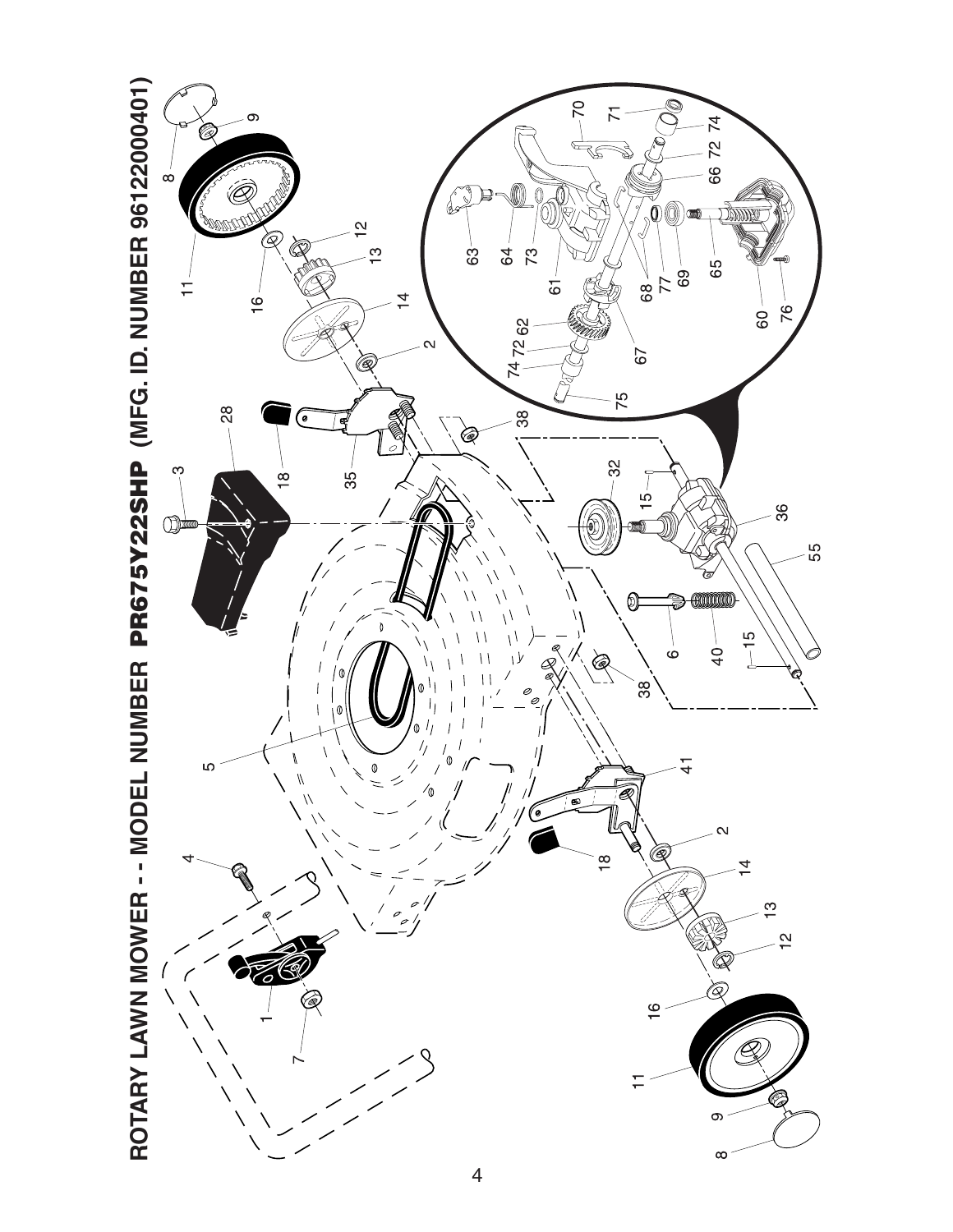